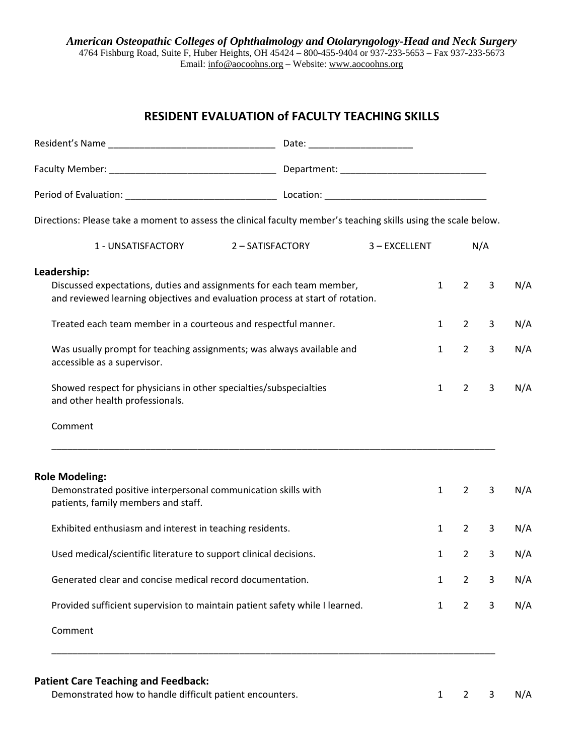## **RESIDENT EVALUATION of FACULTY TEACHING SKILLS**

| Directions: Please take a moment to assess the clinical faculty member's teaching skills using the scale below.                                                                                                                                                                                                                                                                                                                                                   |                  |               |                                                              |                                                                |                             |                          |
|-------------------------------------------------------------------------------------------------------------------------------------------------------------------------------------------------------------------------------------------------------------------------------------------------------------------------------------------------------------------------------------------------------------------------------------------------------------------|------------------|---------------|--------------------------------------------------------------|----------------------------------------------------------------|-----------------------------|--------------------------|
| 1 - UNSATISFACTORY                                                                                                                                                                                                                                                                                                                                                                                                                                                | 2 - SATISFACTORY | 3 - EXCELLENT |                                                              | N/A                                                            |                             |                          |
| Leadership:<br>Discussed expectations, duties and assignments for each team member,<br>and reviewed learning objectives and evaluation process at start of rotation.<br>Treated each team member in a courteous and respectful manner.<br>Was usually prompt for teaching assignments; was always available and<br>accessible as a supervisor.<br>Showed respect for physicians in other specialties/subspecialties<br>and other health professionals.<br>Comment |                  |               | $\mathbf{1}$<br>$\mathbf{1}$<br>$\mathbf{1}$<br>$\mathbf{1}$ | $\overline{2}$<br>$2^{\circ}$<br>$2^{\circ}$<br>$\overline{2}$ | 3<br>3<br>3<br>$\mathbf{3}$ | N/A<br>N/A<br>N/A<br>N/A |
| <b>Role Modeling:</b><br>Demonstrated positive interpersonal communication skills with<br>patients, family members and staff.                                                                                                                                                                                                                                                                                                                                     |                  |               | 1                                                            | $\overline{2}$                                                 | 3                           | N/A                      |
| Exhibited enthusiasm and interest in teaching residents.                                                                                                                                                                                                                                                                                                                                                                                                          |                  |               | $\mathbf{1}$                                                 | $2^{\circ}$                                                    | $\overline{3}$              | N/A                      |
| Used medical/scientific literature to support clinical decisions.                                                                                                                                                                                                                                                                                                                                                                                                 |                  |               | $\mathbf{1}$                                                 | $\overline{2}$                                                 | 3                           | N/A                      |
| Generated clear and concise medical record documentation.                                                                                                                                                                                                                                                                                                                                                                                                         |                  |               | $\mathbf{1}$                                                 | $\overline{2}$                                                 | 3                           | N/A                      |
| Provided sufficient supervision to maintain patient safety while I learned.                                                                                                                                                                                                                                                                                                                                                                                       |                  |               | $\mathbf{1}$                                                 | $\overline{2}$                                                 | 3                           | N/A                      |
| Comment                                                                                                                                                                                                                                                                                                                                                                                                                                                           |                  |               |                                                              |                                                                |                             |                          |

## **Patient Care Teaching and Feedback:**

Demonstrated how to handle difficult patient encounters.<br>
2 3 N/A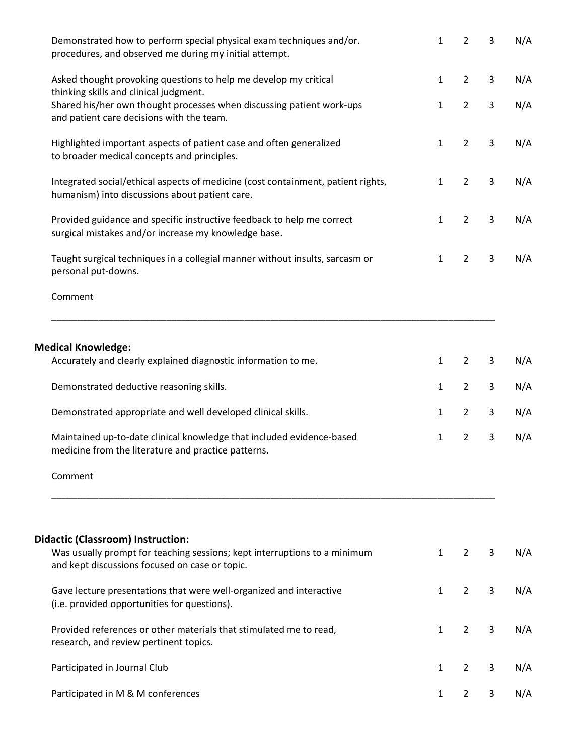| Demonstrated how to perform special physical exam techniques and/or.<br>procedures, and observed me during my initial attempt.                                                                                                                                                                                        | 1                | $\overline{2}$                                                       | 3                | N/A                      |
|-----------------------------------------------------------------------------------------------------------------------------------------------------------------------------------------------------------------------------------------------------------------------------------------------------------------------|------------------|----------------------------------------------------------------------|------------------|--------------------------|
| Asked thought provoking questions to help me develop my critical<br>thinking skills and clinical judgment.                                                                                                                                                                                                            | 1                | $\overline{2}$                                                       | $\mathbf{3}$     | N/A                      |
| Shared his/her own thought processes when discussing patient work-ups<br>and patient care decisions with the team.                                                                                                                                                                                                    | 1                | $\overline{2}$                                                       | 3                | N/A                      |
| Highlighted important aspects of patient case and often generalized<br>to broader medical concepts and principles.                                                                                                                                                                                                    | 1                | $\overline{2}$                                                       | 3                | N/A                      |
| Integrated social/ethical aspects of medicine (cost containment, patient rights,<br>humanism) into discussions about patient care.                                                                                                                                                                                    | 1                | $\overline{2}$                                                       | $\mathbf{3}$     | N/A                      |
| Provided guidance and specific instructive feedback to help me correct<br>surgical mistakes and/or increase my knowledge base.                                                                                                                                                                                        | 1                | $\overline{2}$                                                       | $\mathbf{3}$     | N/A                      |
| Taught surgical techniques in a collegial manner without insults, sarcasm or<br>personal put-downs.                                                                                                                                                                                                                   | 1                | $\overline{2}$                                                       | 3                | N/A                      |
| Comment                                                                                                                                                                                                                                                                                                               |                  |                                                                      |                  |                          |
| Accurately and clearly explained diagnostic information to me.<br>Demonstrated deductive reasoning skills.<br>Demonstrated appropriate and well developed clinical skills.<br>Maintained up-to-date clinical knowledge that included evidence-based<br>medicine from the literature and practice patterns.<br>Comment | 1<br>1<br>1<br>1 | $\overline{2}$<br>$\overline{2}$<br>$\overline{2}$<br>$\overline{2}$ | 3<br>3<br>3<br>3 | N/A<br>N/A<br>N/A<br>N/A |
| <b>Didactic (Classroom) Instruction:</b><br>Was usually prompt for teaching sessions; kept interruptions to a minimum<br>and kept discussions focused on case or topic.                                                                                                                                               | 1                | $\overline{2}$                                                       | 3                | N/A                      |
| Gave lecture presentations that were well-organized and interactive<br>(i.e. provided opportunities for questions).                                                                                                                                                                                                   | 1                | $\overline{2}$                                                       | 3                | N/A                      |
| Provided references or other materials that stimulated me to read,<br>research, and review pertinent topics.                                                                                                                                                                                                          | 1                | $\overline{2}$                                                       | 3                | N/A                      |
| Participated in Journal Club                                                                                                                                                                                                                                                                                          | 1                | $\overline{2}$                                                       | 3                | N/A                      |
| Participated in M & M conferences                                                                                                                                                                                                                                                                                     | 1                | 2                                                                    | 3                | N/A                      |